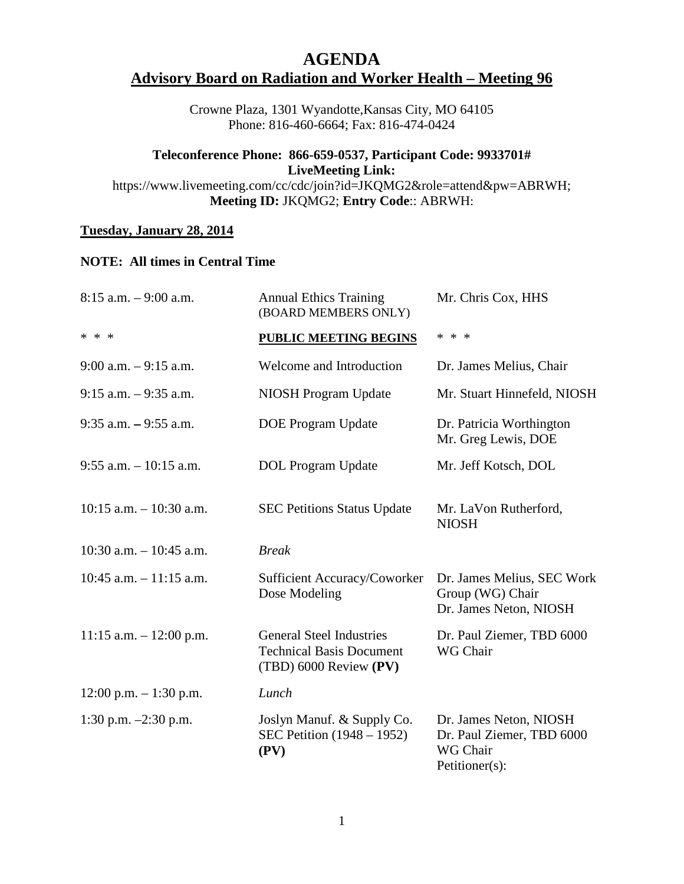## **AGENDA Advisory Board on Radiation and Worker Health – Meeting 96**

Crowne Plaza, 1301 Wyandotte,Kansas City, MO 64105 Phone: 816-460-6664; Fax: 816-474-0424

## **Teleconference Phone: 866-659-0537, Participant Code: 9933701# LiveMeeting Link:**

https://www.livemeeting.com/cc/cdc/join?id=JKQMG2&role=attend&pw=ABRWH; **Meeting ID:** JKQMG2; **Entry Code**:: ABRWH:

## **Tuesday, January 28, 2014**

## **NOTE: All times in Central Time**

| $8:15$ a.m. $-9:00$ a.m.   | <b>Annual Ethics Training</b><br>(BOARD MEMBERS ONLY)                                        | Mr. Chris Cox, HHS                                                                |
|----------------------------|----------------------------------------------------------------------------------------------|-----------------------------------------------------------------------------------|
| * * *                      | <b>PUBLIC MEETING BEGINS</b>                                                                 | * * *                                                                             |
| $9:00$ a.m. $-9:15$ a.m.   | Welcome and Introduction                                                                     | Dr. James Melius, Chair                                                           |
| $9:15$ a.m. $-9:35$ a.m.   | NIOSH Program Update                                                                         | Mr. Stuart Hinnefeld, NIOSH                                                       |
| $9:35$ a.m. $-9:55$ a.m.   | <b>DOE Program Update</b>                                                                    | Dr. Patricia Worthington<br>Mr. Greg Lewis, DOE                                   |
| $9:55$ a.m. $-10:15$ a.m.  | <b>DOL</b> Program Update                                                                    | Mr. Jeff Kotsch, DOL                                                              |
| $10:15$ a.m. $-10:30$ a.m. | <b>SEC Petitions Status Update</b>                                                           | Mr. LaVon Rutherford,<br><b>NIOSH</b>                                             |
| 10:30 a.m. $-10:45$ a.m.   | <b>Break</b>                                                                                 |                                                                                   |
| $10:45$ a.m. $-11:15$ a.m. | Sufficient Accuracy/Coworker<br>Dose Modeling                                                | Dr. James Melius, SEC Work<br>Group (WG) Chair<br>Dr. James Neton, NIOSH          |
| 11:15 a.m. $- 12:00$ p.m.  | <b>General Steel Industries</b><br><b>Technical Basis Document</b><br>(TBD) 6000 Review (PV) | Dr. Paul Ziemer, TBD 6000<br>WG Chair                                             |
| $12:00$ p.m. $-1:30$ p.m.  | Lunch                                                                                        |                                                                                   |
| 1:30 p.m. $-2:30$ p.m.     | Joslyn Manuf. & Supply Co.<br>SEC Petition (1948 – 1952)<br>(PV)                             | Dr. James Neton, NIOSH<br>Dr. Paul Ziemer, TBD 6000<br>WG Chair<br>Petitioner(s): |